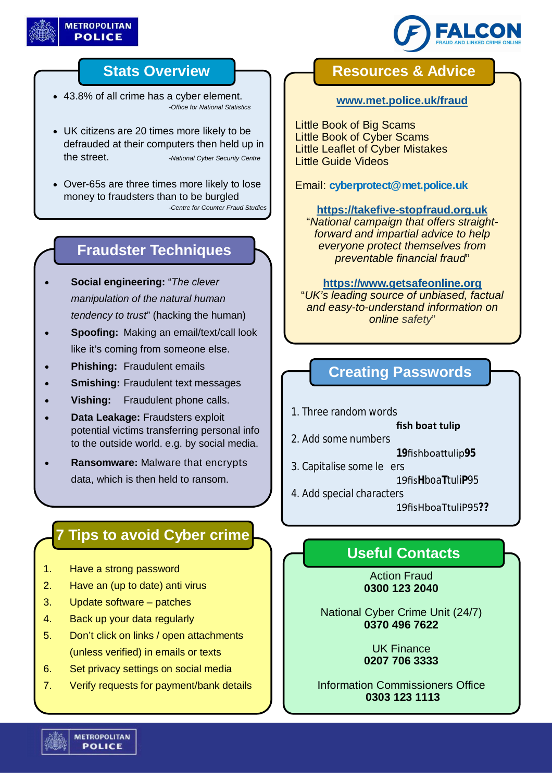



## **Stats Overview**

- 43.8% of all crime has a cyber element. *-Office for National Statistics*
- UK citizens are 20 times more likely to be defrauded at their computers then held up in the street. *-National Cyber Security Centre*
- Over-65s are three times more likely to lose money to fraudsters than to be burgled *-Centre for Counter Fraud Studies*

## **Fraudster Techniques**

- **Social engineering:** "*The clever manipulation of the natural human tendency to trust*" (hacking the human)
- **Spoofing:** Making an email/text/call look like it's coming from someone else.
- **Phishing:** Fraudulent emails
- **Smishing:** Fraudulent text messages
- **Vishing:** Fraudulent phone calls.
- **Data Leakage:** Fraudsters exploit potential victims transferring personal info to the outside world. e.g. by social media.
- **Ransomware:** Malware that encrypts data, which is then held to ransom.

# **7 Tips to avoid Cyber crime**

- 1. Have a strong password
- 2. Have an (up to date) anti virus
- 3. Update software patches
- 4. Back up your data regularly
- 5. Don't click on links / open attachments (unless verified) in emails or texts
- 6. Set privacy settings on social media
- 7. Verify requests for payment/bank details

## **Resources & Advice**

#### **www.met.police.uk/fraud**

Little Book of Big Scams Little Book of Cyber Scams Little Leaflet of Cyber Mistakes Little Guide Videos

Email: **cyberprotect@met.police.uk**

### **https://takefive-stopfraud.org.uk**

"*National campaign that offers straightforward and impartial advice to help everyone protect themselves from preventable financial fraud*"

#### **https://www.getsafeonline.org**

"*UK's leading source of unbiased, factual and easy-to-understand information on online safety*"

## **Creating Passwords**

1. Three random words

**fish boat tulip**

- 2. Add some numbers
	- **19**fishboaƩulip**95**
- 3. Capitalise some le ers

19fis**H**boa**T**tuli**P**95

4. Add special characters

19fisHboaTtuliP95**??**

# **Useful Contacts**

Action Fraud **0300 123 2040**

National Cyber Crime Unit (24/7) **0370 496 7622**

> UK Finance **0207 706 3333**

Information Commissioners Office **0303 123 1113**